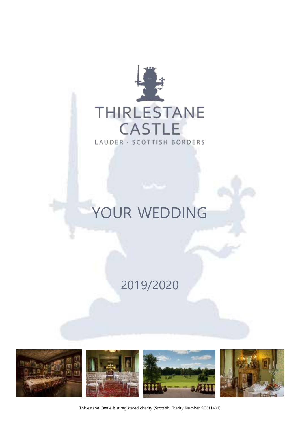

# YOUR WEDDING

# 2019/2020









Thirlestane Castle is a registered charity (Scottish Charity Number SC011491)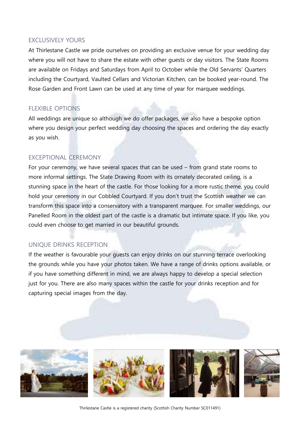#### EXCLUSIVELY YOURS

At Thirlestane Castle we pride ourselves on providing an exclusive venue for your wedding day where you will not have to share the estate with other guests or day visitors. The State Rooms are available on Fridays and Saturdays from April to October while the Old Servants' Quarters including the Courtyard, Vaulted Cellars and Victorian Kitchen, can be booked year-round. The Rose Garden and Front Lawn can be used at any time of year for marquee weddings.

### FLEXIBLE OPTIONS

All weddings are unique so although we do offer packages, we also have a bespoke option where you design your perfect wedding day choosing the spaces and ordering the day exactly as you wish.

#### EXCEPTIONAL CEREMONY

For your ceremony, we have several spaces that can be used – from grand state rooms to more informal settings. The State Drawing Room with its ornately decorated ceiling, is a stunning space in the heart of the castle. For those looking for a more rustic theme, you could hold your ceremony in our Cobbled Courtyard. If you don't trust the Scottish weather we can transform this space into a conservatory with a transparent marquee. For smaller weddings, our Panelled Room in the oldest part of the castle is a dramatic but intimate space. If you like, you could even choose to get married in our beautiful grounds.

#### UNIQUE DRINKS RECEPTION

If the weather is favourable your guests can enjoy drinks on our stunning terrace overlooking the grounds while you have your photos taken. We have a range of drinks options available, or if you have something different in mind, we are always happy to develop a special selection just for you. There are also many spaces within the castle for your drinks reception and for capturing special images from the day.







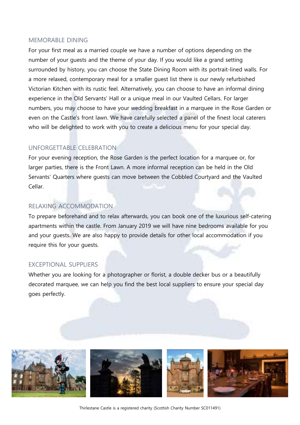#### MEMORABLE DINING

For your first meal as a married couple we have a number of options depending on the number of your guests and the theme of your day. If you would like a grand setting surrounded by history, you can choose the State Dining Room with its portrait-lined walls. For a more relaxed, contemporary meal for a smaller guest list there is our newly refurbished Victorian Kitchen with its rustic feel. Alternatively, you can choose to have an informal dining experience in the Old Servants' Hall or a unique meal in our Vaulted Cellars. For larger numbers, you may choose to have your wedding breakfast in a marquee in the Rose Garden or even on the Castle's front lawn. We have carefully selected a panel of the finest local caterers who will be delighted to work with you to create a delicious menu for your special day.

#### UNFORGETTABLE CELEBRATION

For your evening reception, the Rose Garden is the perfect location for a marquee or, for larger parties, there is the Front Lawn. A more informal reception can be held in the Old Servants' Quarters where guests can move between the Cobbled Courtyard and the Vaulted Cellar.

#### RELAXING ACCOMMODATION

To prepare beforehand and to relax afterwards, you can book one of the luxurious self-catering apartments within the castle. From January 2019 we will have nine bedrooms available for you and your guests. We are also happy to provide details for other local accommodation if you require this for your guests.

#### EXCEPTIONAL SUPPLIERS

Whether you are looking for a photographer or florist, a double decker bus or a beautifully decorated marquee, we can help you find the best local suppliers to ensure your special day goes perfectly.

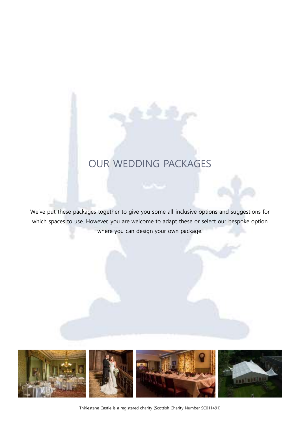# OUR WEDDING PACKAGES

We've put these packages together to give you some all-inclusive options and suggestions for which spaces to use. However, you are welcome to adapt these or select our bespoke option where you can design your own package.

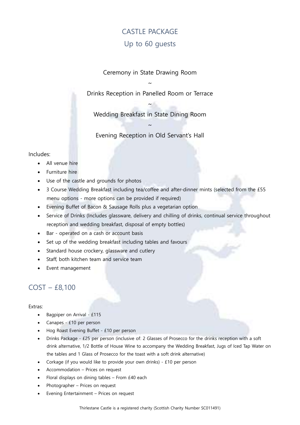# CASTLE PACKAGE Up to 60 guests

Ceremony in State Drawing Room

Drinks Reception in Panelled Room or Terrace

~

~

Wedding Breakfast in State Dining Room

Evening Reception in Old Servant's Hall

 $\sim$ 

#### Includes:

- All venue hire
- Furniture hire
- Use of the castle and grounds for photos
- 3 Course Wedding Breakfast including tea/coffee and after-dinner mints (selected from the £55 menu options - more options can be provided if required)
- Evening Buffet of Bacon & Sausage Rolls plus a vegetarian option
- Service of Drinks (Includes glassware, delivery and chilling of drinks, continual service throughout reception and wedding breakfast, disposal of empty bottles)
- Bar operated on a cash or account basis
- Set up of the wedding breakfast including tables and favours
- Standard house crockery, glassware and cutlery
- Staff, both kitchen team and service team
- Event management

### COST – £8,100

- Bagpiper on Arrival £115
- Canapes £10 per person
- Hog Roast Evening Buffet £10 per person
- Drinks Package £25 per person (inclusive of: 2 Glasses of Prosecco for the drinks reception with a soft drink alternative, 1/2 Bottle of House Wine to accompany the Wedding Breakfast, Jugs of Iced Tap Water on the tables and 1 Glass of Prosecco for the toast with a soft drink alternative)
- Corkage (if you would like to provide your own drinks) £10 per person
- Accommodation Prices on request
- Floral displays on dining tables From £40 each
- Photographer Prices on request
- Evening Entertainment Prices on request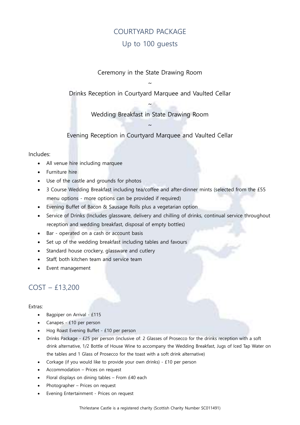# COURTYARD PACKAGE Up to 100 guests

Ceremony in the State Drawing Room

~

Drinks Reception in Courtyard Marquee and Vaulted Cellar

~

Wedding Breakfast in State Drawing Room

Evening Reception in Courtyard Marquee and Vaulted Cellar

 $\sim$ 

#### Includes:

- All venue hire including marquee
- Furniture hire
- Use of the castle and grounds for photos
- 3 Course Wedding Breakfast including tea/coffee and after-dinner mints (selected from the £55 menu options - more options can be provided if required)
- Evening Buffet of Bacon & Sausage Rolls plus a vegetarian option
- Service of Drinks (Includes glassware, delivery and chilling of drinks, continual service throughout reception and wedding breakfast, disposal of empty bottles)
- Bar operated on a cash or account basis
- Set up of the wedding breakfast including tables and favours
- Standard house crockery, glassware and cutlery
- Staff, both kitchen team and service team
- Event management

# COST – £13,200

- Bagpiper on Arrival £115
- Canapes £10 per person
- Hog Roast Evening Buffet £10 per person
- Drinks Package £25 per person (inclusive of: 2 Glasses of Prosecco for the drinks reception with a soft drink alternative, 1/2 Bottle of House Wine to accompany the Wedding Breakfast, Jugs of Iced Tap Water on the tables and 1 Glass of Prosecco for the toast with a soft drink alternative)
- Corkage (if you would like to provide your own drinks) £10 per person
- Accommodation Prices on request
- Floral displays on dining tables From £40 each
- Photographer Prices on request
- Evening Entertainment Prices on request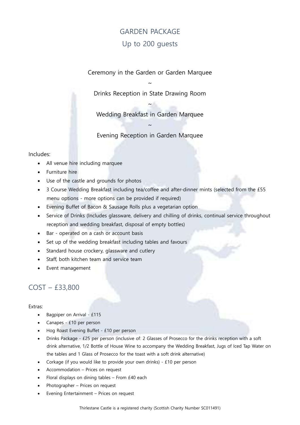# GARDEN PACKAGE Up to 200 guests

Ceremony in the Garden or Garden Marquee

~ Drinks Reception in State Drawing Room

~

Wedding Breakfast in Garden Marquee

 $\sim$ 

Evening Reception in Garden Marquee

#### Includes:

- All venue hire including marquee
- Furniture hire
- Use of the castle and grounds for photos
- 3 Course Wedding Breakfast including tea/coffee and after-dinner mints (selected from the £55 menu options - more options can be provided if required)
- Evening Buffet of Bacon & Sausage Rolls plus a vegetarian option
- Service of Drinks (Includes glassware, delivery and chilling of drinks, continual service throughout reception and wedding breakfast, disposal of empty bottles)
- Bar operated on a cash or account basis
- Set up of the wedding breakfast including tables and favours
- Standard house crockery, glassware and cutlery
- Staff, both kitchen team and service team
- Event management

### COST – £33,800

- Bagpiper on Arrival £115
- Canapes £10 per person
- Hog Roast Evening Buffet £10 per person
- Drinks Package £25 per person (inclusive of: 2 Glasses of Prosecco for the drinks reception with a soft drink alternative, 1/2 Bottle of House Wine to accompany the Wedding Breakfast, Jugs of Iced Tap Water on the tables and 1 Glass of Prosecco for the toast with a soft drink alternative)
- Corkage (if you would like to provide your own drinks) £10 per person
- Accommodation Prices on request
- Floral displays on dining tables From £40 each
- Photographer Prices on request
- Evening Entertainment Prices on request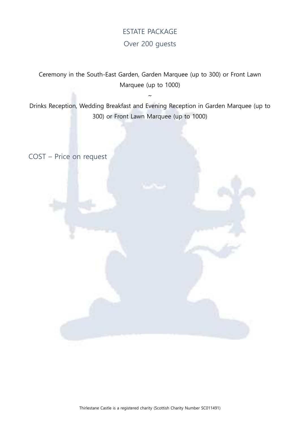# ESTATE PACKAGE Over 200 guests

Ceremony in the South-East Garden, Garden Marquee (up to 300) or Front Lawn Marquee (up to 1000)

Drinks Reception, Wedding Breakfast and Evening Reception in Garden Marquee (up to 300) or Front Lawn Marquee (up to 1000)

 $\sim$ 

COST – Price on request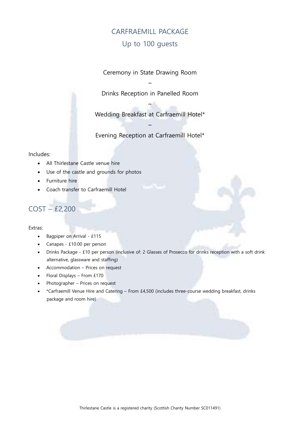# CARFRAEMILL PACKAGE Up to 100 guests

Ceremony in State Drawing Room

~ Drinks Reception in Panelled Room

Wedding Breakfast at Carfraemill Hotel\*

 $\sim$ 

~

Evening Reception at Carfraemill Hotel\*

#### Includes:

- All Thirlestane Castle venue hire
- Use of the castle and grounds for photos
- Furniture hire
- Coach transfer to Carfraemill Hotel

# COST – £2,200

- Bagpiper on Arrival £115
- Canapes £10.00 per person
- Drinks Package £10 per person (inclusive of: 2 Glasses of Prosecco for drinks reception with a soft drink alternative, glassware and staffing)
- Accommodation Prices on request
- Floral Displays From £170
- Photographer Prices on request
- \*Carfraemill Venue Hire and Catering From £4,500 (includes three-course wedding breakfast, drinks package and room hire)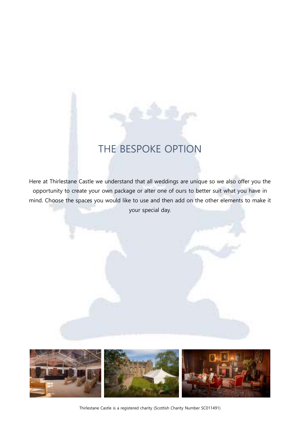# THE BESPOKE OPTION

Here at Thirlestane Castle we understand that all weddings are unique so we also offer you the opportunity to create your own package or alter one of ours to better suit what you have in mind. Choose the spaces you would like to use and then add on the other elements to make it your special day.



Thirlestane Castle is a registered charity (Scottish Charity Number SC011491)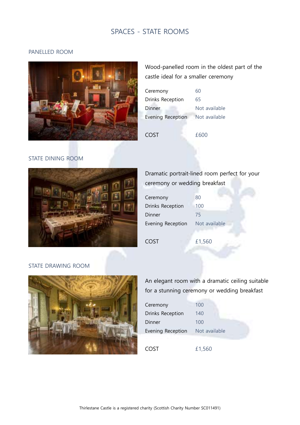# SPACES - STATE ROOMS

#### PANELLED ROOM



Wood-panelled room in the oldest part of the castle ideal for a smaller ceremony

| Ceremony                 | 60            |
|--------------------------|---------------|
| Drinks Reception         | 65            |
| Dinner                   | Not available |
| <b>Evening Reception</b> | Not available |
|                          |               |
| COST                     | £600          |
|                          |               |

### STATE DINING ROOM



# Dramatic portrait-lined room perfect for your ceremony or wedding breakfast

| Ceremony          | 80            |
|-------------------|---------------|
| Drinks Reception  | 100           |
| Dinner            | 75            |
| Evening Reception | Not available |
|                   |               |
|                   |               |
| COST              | £1,560        |

#### STATE DRAWING ROOM



An elegant room with a dramatic ceiling suitable for a stunning ceremony or wedding breakfast

| Ceremony          | 100           |
|-------------------|---------------|
| Drinks Reception  | 140           |
| Dinner            | 100           |
| Evening Reception | Not available |
|                   |               |
| COST              | £1,560        |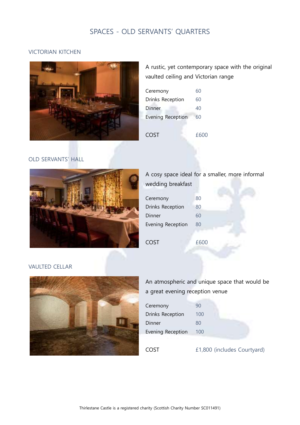# SPACES - OLD SERVANTS' QUARTERS

#### VICTORIAN KITCHEN



A rustic, yet contemporary space with the original vaulted ceiling and Victorian range

| Ceremony                 | 60   |
|--------------------------|------|
| Drinks Reception         | 60   |
| Dinner                   | 40   |
| <b>Evening Reception</b> | 60   |
|                          |      |
| COST                     | £600 |

#### OLD SERVANTS' HALL



### A cosy space ideal for a smaller, more informal wedding breakfast

| Ceremony                | 80 |  |
|-------------------------|----|--|
| <b>Drinks Reception</b> | 80 |  |
| Dinner                  | 60 |  |
| Evening Reception       | 80 |  |
|                         |    |  |

COST £600

VAULTED CELLAR



| An atmospheric and unique space that would be |
|-----------------------------------------------|
| a great evening reception venue               |

| Ceremony          | 90  |
|-------------------|-----|
| Drinks Reception  | 100 |
| Dinner            | 80  |
| Evening Reception | 100 |
|                   |     |

COST £1,800 (includes Courtyard)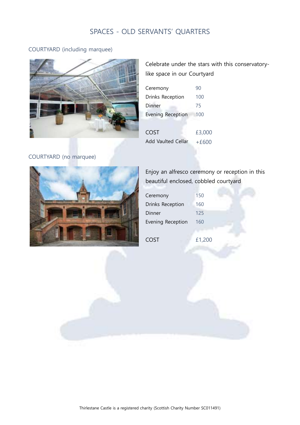# SPACES - OLD SERVANTS' QUARTERS

#### COURTYARD (including marquee)



Celebrate under the stars with this conservatorylike space in our Courtyard

| Ceremony                 | 90      |
|--------------------------|---------|
| Drinks Reception         | 100     |
| Dinner                   | 75      |
| <b>Evening Reception</b> | 100     |
|                          |         |
| <b>COST</b>              | £3,000  |
| Add Vaulted Cellar       | $+f600$ |

#### COURTYARD (no marquee)



Enjoy an alfresco ceremony or reception in this beautiful enclosed, cobbled courtyard

| Ceremony                | 150 |
|-------------------------|-----|
| <b>Drinks Reception</b> | 160 |
| Dinner                  | 125 |
| Evening Reception       | 160 |
|                         |     |

COST £1,200

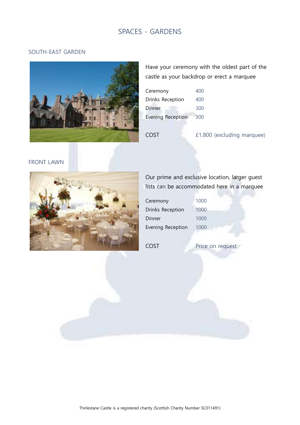# SPACES - GARDENS

#### SOUTH-EAST GARDEN



Have your ceremony with the oldest part of the castle as your backdrop or erect a marquee

| Ceremony                 | 400 |
|--------------------------|-----|
| Drinks Reception         | 400 |
| Dinner                   | 300 |
| <b>Evening Reception</b> | 300 |

COST £1,800 (excluding marquee)

#### FRONT LAWN



# Our prime and exclusive location, larger guest lists can be accommodated here in a marquee

| Ceremony          | 1000 |
|-------------------|------|
| Drinks Reception  | 1000 |
| Dinner            | 1000 |
| Evening Reception | 1000 |

COST Price on request

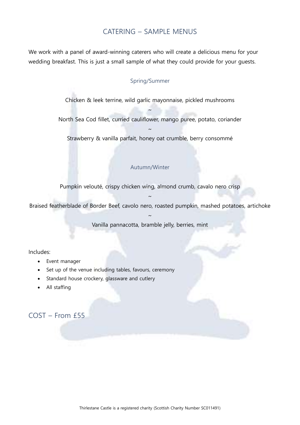### CATERING – SAMPLE MENUS

We work with a panel of award-winning caterers who will create a delicious menu for your wedding breakfast. This is just a small sample of what they could provide for your guests.

#### Spring/Summer

Chicken & leek terrine, wild garlic mayonnaise, pickled mushrooms

~ North Sea Cod fillet, curried cauliflower, mango puree, potato, coriander

 $\sim$ Strawberry & vanilla parfait, honey oat crumble, berry consommé

#### Autumn/Winter

Pumpkin velouté, crispy chicken wing, almond crumb, cavalo nero crisp

 $\sim$ Braised featherblade of Border Beef, cavolo nero, roasted pumpkin, mashed potatoes, artichoke

> $\sim$ Vanilla pannacotta, bramble jelly, berries, mint

#### Includes:

- Event manager
- Set up of the venue including tables, favours, ceremony
- Standard house crockery, glassware and cutlery
- All staffing

### COST – From £55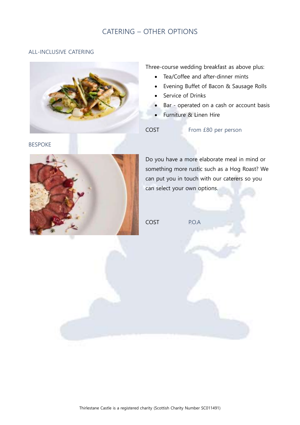# CATERING – OTHER OPTIONS

#### ALL-INCLUSIVE CATERING



Three-course wedding breakfast as above plus:

- Tea/Coffee and after-dinner mints
- Evening Buffet of Bacon & Sausage Rolls
- Service of Drinks
- Bar operated on a cash or account basis
- Furniture & Linen Hire

COST From £80 per person

BESPOKE



Do you have a more elaborate meal in mind or something more rustic such as a Hog Roast? We can put you in touch with our caterers so you can select your own options.

COST P.O.A

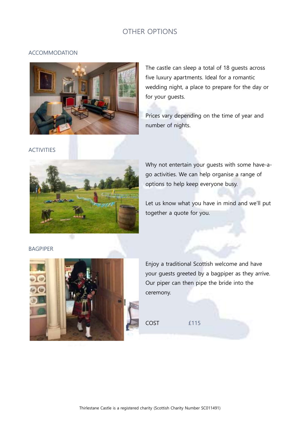### OTHER OPTIONS

#### ACCOMMODATION



The castle can sleep a total of 18 guests across five luxury apartments. Ideal for a romantic wedding night, a place to prepare for the day or for your guests.

Prices vary depending on the time of year and number of nights.

#### ACTIVITIES



Why not entertain your guests with some have-ago activities. We can help organise a range of options to help keep everyone busy.

Let us know what you have in mind and we'll put together a quote for you.

#### BAGPIPER



Enjoy a traditional Scottish welcome and have your guests greeted by a bagpiper as they arrive. Our piper can then pipe the bride into the ceremony.

COST £115